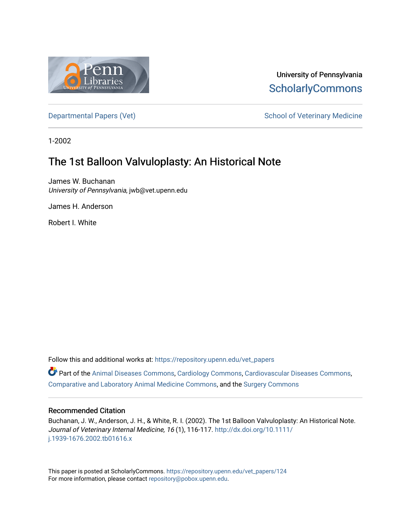

University of Pennsylvania **ScholarlyCommons** 

[Departmental Papers \(Vet\)](https://repository.upenn.edu/vet_papers) and School of Veterinary Medicine

1-2002

# The 1st Balloon Valvuloplasty: An Historical Note

James W. Buchanan University of Pennsylvania, jwb@vet.upenn.edu

James H. Anderson

Robert I. White

Follow this and additional works at: [https://repository.upenn.edu/vet\\_papers](https://repository.upenn.edu/vet_papers?utm_source=repository.upenn.edu%2Fvet_papers%2F124&utm_medium=PDF&utm_campaign=PDFCoverPages) 

Part of the [Animal Diseases Commons,](http://network.bepress.com/hgg/discipline/918?utm_source=repository.upenn.edu%2Fvet_papers%2F124&utm_medium=PDF&utm_campaign=PDFCoverPages) [Cardiology Commons](http://network.bepress.com/hgg/discipline/683?utm_source=repository.upenn.edu%2Fvet_papers%2F124&utm_medium=PDF&utm_campaign=PDFCoverPages), [Cardiovascular Diseases Commons,](http://network.bepress.com/hgg/discipline/929?utm_source=repository.upenn.edu%2Fvet_papers%2F124&utm_medium=PDF&utm_campaign=PDFCoverPages) [Comparative and Laboratory Animal Medicine Commons](http://network.bepress.com/hgg/discipline/768?utm_source=repository.upenn.edu%2Fvet_papers%2F124&utm_medium=PDF&utm_campaign=PDFCoverPages), and the [Surgery Commons](http://network.bepress.com/hgg/discipline/706?utm_source=repository.upenn.edu%2Fvet_papers%2F124&utm_medium=PDF&utm_campaign=PDFCoverPages) 

#### Recommended Citation

Buchanan, J. W., Anderson, J. H., & White, R. I. (2002). The 1st Balloon Valvuloplasty: An Historical Note. Journal of Veterinary Internal Medicine, 16 (1), 116-117. [http://dx.doi.org/10.1111/](http://dx.doi.org/10.1111/j.1939-1676.2002.tb01616.x) [j.1939-1676.2002.tb01616.x](http://dx.doi.org/10.1111/j.1939-1676.2002.tb01616.x) 

This paper is posted at ScholarlyCommons. [https://repository.upenn.edu/vet\\_papers/124](https://repository.upenn.edu/vet_papers/124) For more information, please contact [repository@pobox.upenn.edu.](mailto:repository@pobox.upenn.edu)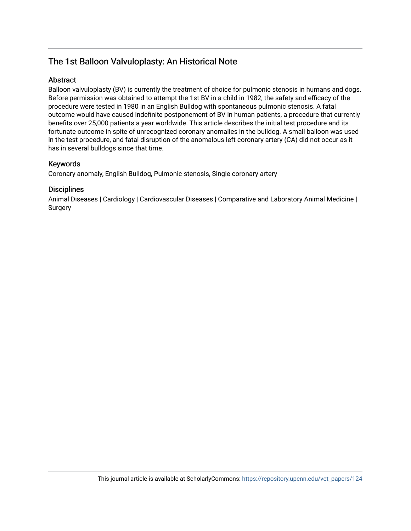## The 1st Balloon Valvuloplasty: An Historical Note

## **Abstract**

Balloon valvuloplasty (BV) is currently the treatment of choice for pulmonic stenosis in humans and dogs. Before permission was obtained to attempt the 1st BV in a child in 1982, the safety and efficacy of the procedure were tested in 1980 in an English Bulldog with spontaneous pulmonic stenosis. A fatal outcome would have caused indefinite postponement of BV in human patients, a procedure that currently benefits over 25,000 patients a year worldwide. This article describes the initial test procedure and its fortunate outcome in spite of unrecognized coronary anomalies in the bulldog. A small balloon was used in the test procedure, and fatal disruption of the anomalous left coronary artery (CA) did not occur as it has in several bulldogs since that time.

## Keywords

Coronary anomaly, English Bulldog, Pulmonic stenosis, Single coronary artery

## **Disciplines**

Animal Diseases | Cardiology | Cardiovascular Diseases | Comparative and Laboratory Animal Medicine | Surgery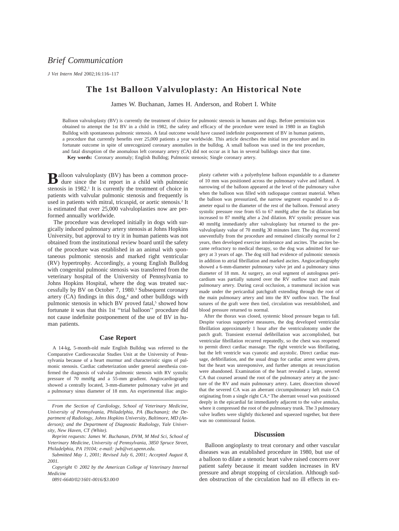*J Vet Intern Med* 2002;16:116–117

## **The 1st Balloon Valvuloplasty: An Historical Note**

James W. Buchanan, James H. Anderson, and Robert I. White

Balloon valvuloplasty (BV) is currently the treatment of choice for pulmonic stenosis in humans and dogs. Before permission was obtained to attempt the 1st BV in a child in 1982, the safety and efficacy of the procedure were tested in 1980 in an English Bulldog with spontaneous pulmonic stenosis. A fatal outcome would have caused indefinite postponement of BV in human patients, a procedure that currently benefits over 25,000 patients a year worldwide. This article describes the initial test procedure and its fortunate outcome in spite of unrecognized coronary anomalies in the bulldog. A small balloon was used in the test procedure, and fatal disruption of the anomalous left coronary artery (CA) did not occur as it has in several bulldogs since that time. **Key words:** Coronary anomaly; English Bulldog; Pulmonic stenosis; Single coronary artery.

Balloon valvuloplasty (BV) has been a common procedure since the 1st report in a child with pulmonic stenosis in 1982.<sup>1</sup> It is currently the treatment of choice in patients with valvular pulmonic stenosis and frequently is used in patients with mitral, tricuspid, or aortic stenosis.2 It is estimated that over 25,000 valvuloplasties now are performed annually worldwide.

The procedure was developed initially in dogs with surgically induced pulmonary artery stenosis at Johns Hopkins University, but approval to try it in human patients was not obtained from the institutional review board until the safety of the procedure was established in an animal with spontaneous pulmonic stenosis and marked right ventricular (RV) hypertrophy. Accordingly, a young English Bulldog with congenital pulmonic stenosis was transferred from the veterinary hospital of the University of Pennsylvania to Johns Hopkins Hospital, where the dog was treated successfully by BV on October 7, 1980.3 Subsequent coronary artery  $(CA)$  findings in this dog, $4$  and other bulldogs with pulmonic stenosis in which BV proved fatal,<sup>5</sup> showed how fortunate it was that this 1st ''trial balloon'' procedure did not cause indefinite postponement of the use of BV in human patients.

#### **Case Report**

A 14-kg, 5-month-old male English Bulldog was referred to the Comparative Cardiovascular Studies Unit at the University of Pennsylvania because of a heart murmur and characteristic signs of pulmonic stenosis. Cardiac catheterization under general anesthesia confirmed the diagnosis of valvular pulmonic stenosis with RV systolic pressure of 70 mmHg and a 55-mm gradient. Angiocardiography showed a centrally located, 3-mm-diameter pulmonary valve jet and a pulmonary sinus diameter of 18 mm. An experimental iliac angio-

*0891-6640/02/1601-0016/\$3.00/0*

plasty catheter with a polyethylene balloon expandable to a diameter of 10 mm was positioned across the pulmonary valve and inflated. A narrowing of the balloon appeared at the level of the pulmonary valve when the balloon was filled with radiopaque contrast material. When the balloon was pressurized, the narrow segment expanded to a diameter equal to the diameter of the rest of the balloon. Femoral artery systolic pressure rose from 65 to 67 mmHg after the 1st dilation but increased to 87 mmHg after a 2nd dilation. RV systolic pressure was 40 mmHg immediately after valvuloplasty but returned to the prevalvuloplasty value of 70 mmHg 30 minutes later. The dog recovered uneventfully from the procedure and remained clinically normal for 2 years, then developed exercise intolerance and ascites. The ascites became refractory to medical therapy, so the dog was admitted for surgery at 3 years of age. The dog still had evidence of pulmonic stenosis in addition to atrial fibrillation and marked ascites. Angiocardiography showed a 6-mm-diameter pulmonary valve jet and a pulmonary sinus diameter of 18 mm. At surgery, an oval segment of autologous pericardium was partially sutured over the RV outflow tract and main pulmonary artery. During caval occlusion, a transmural incision was made under the pericardial patchgraft extending through the root of the main pulmonary artery and into the RV outflow tract. The final sutures of the graft were then tied, circulation was reestablished, and blood pressure returned to normal.

After the thorax was closed, systemic blood pressure began to fall. Despite various supportive measures, the dog developed ventricular fibrillation approximately 1 hour after the ventriculotomy under the patch graft. Transient external defibrillation was accomplished, but ventricular fibrillation recurred repeatedly, so the chest was reopened to permit direct cardiac massage. The right ventricle was fibrillating, but the left ventricle was cyanotic and asystolic. Direct cardiac massage, defibrillation, and the usual drugs for cardiac arrest were given, but the heart was unresponsive, and further attempts at resuscitation were abandoned. Examination of the heart revealed a large, severed CA that coursed around the root of the pulmonary artery at the juncture of the RV and main pulmonary artery. Later, dissection showed that the severed CA was an aberrant circumpulmonary left main CA originating from a single right CA.4 The aberrant vessel was positioned deeply in the epicardial fat immediately adjacent to the valve annulus, where it compressed the root of the pulmonary trunk. The 3 pulmonary valve leaflets were slightly thickened and squeezed together, but there was no commissural fusion.

#### **Discussion**

Balloon angioplasty to treat coronary and other vascular diseases was an established procedure in 1980, but use of a balloon to dilate a stenotic heart valve raised concern over patient safety because it meant sudden increases in RV pressure and abrupt stopping of circulation. Although sudden obstruction of the circulation had no ill effects in ex-

*From the Section of Cardiology, School of Veterinary Medicine, University of Pennsylvania, Philadelphia, PA (Buchanan); the Department of Radiology, Johns Hopkins University, Baltimore, MD (Anderson); and the Department of Diagnostic Radiology, Yale University, New Haven, CT (White).*

*Reprint requests: James W. Buchanan, DVM, M Med Sci, School of Veterinary Medicine, University of Pennsylvania, 3850 Spruce Street, Philadelphia, PA 19104; e-mail: jwb@vet.upenn.edu.*

*Submitted May 1, 2001; Revised July 6, 2001; Accepted August 8, 2001.*

*Copyright 2002 by the American College of Veterinary Internal Medicine*